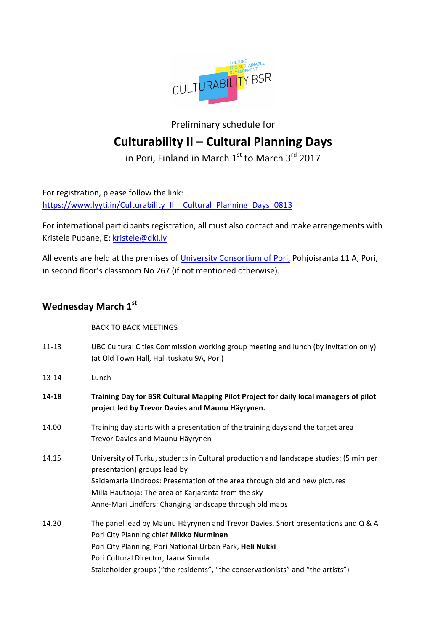

### Preliminary schedule for **Culturability II – Cultural Planning Days**

in Pori, Finland in March  $1<sup>st</sup>$  to March  $3<sup>rd</sup>$  2017

For registration, please follow the link: https://www.lyyti.in/Culturability II Cultural Planning Days 0813

For international participants registration, all must also contact and make arrangements with Kristele Pudane, E: kristele@dki.lv

All events are held at the premises of University Consortium of Pori, Pohjoisranta 11 A, Pori, in second floor's classroom No 267 (if not mentioned otherwise).

### **Wednesday March 1st**

#### BACK TO BACK MEETINGS

- 11-13 UBC Cultural Cities Commission working group meeting and lunch (by invitation only) (at Old Town Hall, Hallituskatu 9A, Pori)
- 13-14 Lunch
- **14-18 Training Day for BSR Cultural Mapping Pilot Project for daily local managers of pilot** project led by Trevor Davies and Maunu Häyrynen.
- 14.00 Training day starts with a presentation of the training days and the target area Trevor Davies and Maunu Häyrynen
- 14.15 University of Turku, students in Cultural production and landscape studies: (5 min per presentation) groups lead by Saidamaria Lindroos: Presentation of the area through old and new pictures Milla Hautaoja: The area of Karjaranta from the sky Anne-Mari Lindfors: Changing landscape through old maps
- 14.30 The panel lead by Maunu Häyrynen and Trevor Davies. Short presentations and Q & A Pori City Planning chief Mikko Nurminen Pori City Planning, Pori National Urban Park, Heli Nukki Pori Cultural Director, Jaana Simula Stakeholder groups ("the residents", "the conservationists" and "the artists")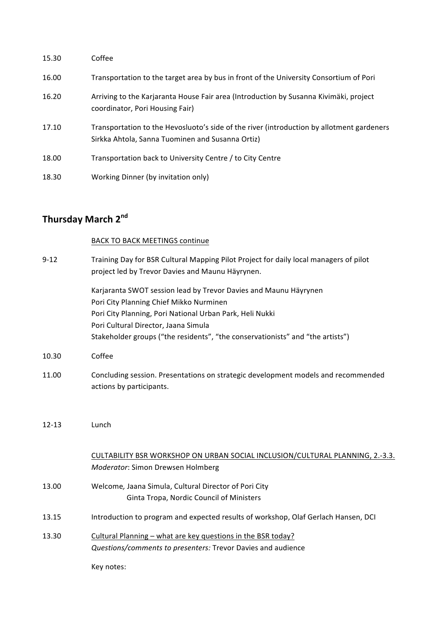| 15.30 | Coffee                                                                                                                                        |
|-------|-----------------------------------------------------------------------------------------------------------------------------------------------|
| 16.00 | Transportation to the target area by bus in front of the University Consortium of Pori                                                        |
| 16.20 | Arriving to the Karjaranta House Fair area (Introduction by Susanna Kivimäki, project<br>coordinator, Pori Housing Fair)                      |
| 17.10 | Transportation to the Hevosluoto's side of the river (introduction by allotment gardeners<br>Sirkka Ahtola, Sanna Tuominen and Susanna Ortiz) |
| 18.00 | Transportation back to University Centre / to City Centre                                                                                     |
| 18.30 | Working Dinner (by invitation only)                                                                                                           |

# **Thursday March 2nd**

#### **BACK TO BACK MEETINGS continue**

| $9 - 12$  | Training Day for BSR Cultural Mapping Pilot Project for daily local managers of pilot<br>project led by Trevor Davies and Maunu Häyrynen.                                                                                                                                                         |
|-----------|---------------------------------------------------------------------------------------------------------------------------------------------------------------------------------------------------------------------------------------------------------------------------------------------------|
|           | Karjaranta SWOT session lead by Trevor Davies and Maunu Häyrynen<br>Pori City Planning Chief Mikko Nurminen<br>Pori City Planning, Pori National Urban Park, Heli Nukki<br>Pori Cultural Director, Jaana Simula<br>Stakeholder groups ("the residents", "the conservationists" and "the artists") |
| 10.30     | Coffee                                                                                                                                                                                                                                                                                            |
| 11.00     | Concluding session. Presentations on strategic development models and recommended<br>actions by participants.                                                                                                                                                                                     |
| $12 - 13$ | Lunch                                                                                                                                                                                                                                                                                             |
|           | CULTABILITY BSR WORKSHOP ON URBAN SOCIAL INCLUSION/CULTURAL PLANNING, 2.-3.3.<br>Moderator: Simon Drewsen Holmberg                                                                                                                                                                                |
| 13.00     | Welcome, Jaana Simula, Cultural Director of Pori City<br>Ginta Tropa, Nordic Council of Ministers                                                                                                                                                                                                 |
| 13.15     | Introduction to program and expected results of workshop, Olaf Gerlach Hansen, DCI                                                                                                                                                                                                                |
| 13.30     | Cultural Planning - what are key questions in the BSR today?<br>Questions/comments to presenters: Trevor Davies and audience                                                                                                                                                                      |
|           | Key notes:                                                                                                                                                                                                                                                                                        |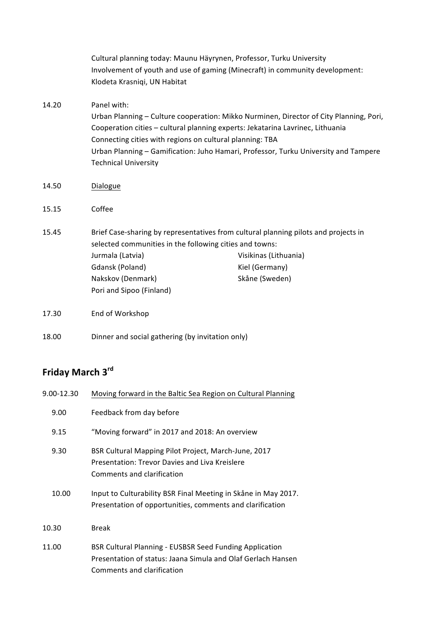|       | Cultural planning today: Maunu Häyrynen, Professor, Turku University<br>Involvement of youth and use of gaming (Minecraft) in community development:<br>Klodeta Krasniqi, UN Habitat                                                                                                                                                                                      |                                                           |
|-------|---------------------------------------------------------------------------------------------------------------------------------------------------------------------------------------------------------------------------------------------------------------------------------------------------------------------------------------------------------------------------|-----------------------------------------------------------|
| 14.20 | Panel with:<br>Urban Planning - Culture cooperation: Mikko Nurminen, Director of City Planning, Pori,<br>Cooperation cities - cultural planning experts: Jekatarina Lavrinec, Lithuania<br>Connecting cities with regions on cultural planning: TBA<br>Urban Planning - Gamification: Juho Hamari, Professor, Turku University and Tampere<br><b>Technical University</b> |                                                           |
| 14.50 | Dialogue                                                                                                                                                                                                                                                                                                                                                                  |                                                           |
| 15.15 | Coffee                                                                                                                                                                                                                                                                                                                                                                    |                                                           |
| 15.45 | Brief Case-sharing by representatives from cultural planning pilots and projects in<br>selected communities in the following cities and towns:<br>Jurmala (Latvia)<br>Gdansk (Poland)<br>Nakskov (Denmark)<br>Pori and Sipoo (Finland)                                                                                                                                    | Visikinas (Lithuania)<br>Kiel (Germany)<br>Skåne (Sweden) |
| 17.30 | End of Workshop                                                                                                                                                                                                                                                                                                                                                           |                                                           |
| 18.00 | Dinner and social gathering (by invitation only)                                                                                                                                                                                                                                                                                                                          |                                                           |

# **Friday March 3rd**

| 9.00-12.30 | Moving forward in the Baltic Sea Region on Cultural Planning                                                                                                 |  |
|------------|--------------------------------------------------------------------------------------------------------------------------------------------------------------|--|
| 9.00       | Feedback from day before                                                                                                                                     |  |
| 9.15       | "Moving forward" in 2017 and 2018: An overview                                                                                                               |  |
| 9.30       | BSR Cultural Mapping Pilot Project, March-June, 2017<br>Presentation: Trevor Davies and Liva Kreislere<br>Comments and clarification                         |  |
| 10.00      | Input to Culturability BSR Final Meeting in Skåne in May 2017.<br>Presentation of opportunities, comments and clarification                                  |  |
| 10.30      | <b>Break</b>                                                                                                                                                 |  |
| 11.00      | <b>BSR Cultural Planning - EUSBSR Seed Funding Application</b><br>Presentation of status: Jaana Simula and Olaf Gerlach Hansen<br>Comments and clarification |  |